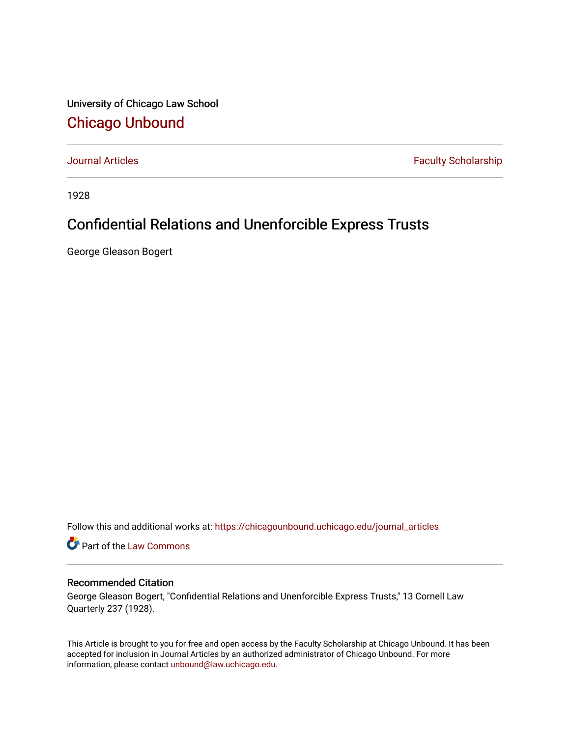University of Chicago Law School [Chicago Unbound](https://chicagounbound.uchicago.edu/)

[Journal Articles](https://chicagounbound.uchicago.edu/journal_articles) **Faculty Scholarship Faculty Scholarship** 

1928

## Confidential Relations and Unenforcible Express Trusts

George Gleason Bogert

Follow this and additional works at: [https://chicagounbound.uchicago.edu/journal\\_articles](https://chicagounbound.uchicago.edu/journal_articles?utm_source=chicagounbound.uchicago.edu%2Fjournal_articles%2F9023&utm_medium=PDF&utm_campaign=PDFCoverPages) 

Part of the [Law Commons](http://network.bepress.com/hgg/discipline/578?utm_source=chicagounbound.uchicago.edu%2Fjournal_articles%2F9023&utm_medium=PDF&utm_campaign=PDFCoverPages)

## Recommended Citation

George Gleason Bogert, "Confidential Relations and Unenforcible Express Trusts," 13 Cornell Law Quarterly 237 (1928).

This Article is brought to you for free and open access by the Faculty Scholarship at Chicago Unbound. It has been accepted for inclusion in Journal Articles by an authorized administrator of Chicago Unbound. For more information, please contact [unbound@law.uchicago.edu](mailto:unbound@law.uchicago.edu).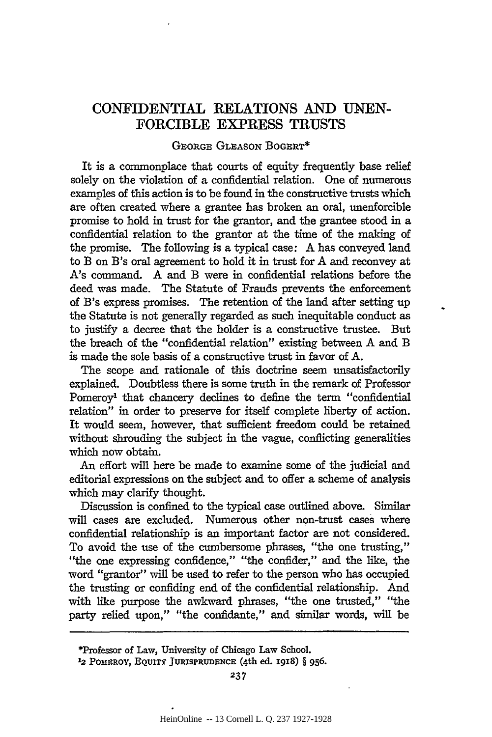## **CONFIDENTIAL** RELATIONS **AND UNEN-**FORCIBLE EXPRESS **TRUSTS**

## GEORGE GLEASON **BOGERT\***

It is a commonplace that courts of equity frequently base relief solely on the violation of a confidential relation. One of numerous examples of this action is to be found in the constructive trusts which are often created where a grantee has broken an oral, unenforcible promise to hold in trust for the grantor, and the grantee stood in a confidential relation to the grantor at the time of the making of the promise. The following is a typical case: A has conveyed land to B on B's oral agreement to hold it in trust for A and reconvey at A's command. A and B were in confidential relations before the deed was made. The Statute of Frauds prevents the enforcement of B's express promises. The retention of the land after setting up the Statute is not generally regarded as such inequitable conduct as to justify a decree that the holder is a constructive trustee. But the breach of the "confidential relation" existing between A and B is made the sole basis of a constructive trust in favor of A.

The scope and rationale of this doctrine seem unsatisfactorily explained. Doubtless there is some truth in the remark of Professor Pomeroy<sup>1</sup> that chancery declines to define the term "confidential relation" in order to preserve for itself complete liberty of action. It would seem, however, that sufficient freedom could be retained without shrouding the subject in the vague, conflicting generalities which now obtain.

An effort will here be made to examine some of the judicial and editorial expressions on the subject and to offer a scheme of analysis which may clarify thought.

Discussion is confined to the typical case outlined above. Similar will cases are excluded. Numerous other non-trust cases where confidential relationship is an important factor are not considered. To avoid the use of the cumbersome phrases, "the one trusting," "the one expressing confidence," "the confider," and the like, the word "grantor" will be used to refer to the person who has occupied the trusting or confiding end of the confidential relationship. And with like purpose the awkward phrases, "the one trusted," "the party relied upon," "the confidante," and similar words, will be

<sup>\*</sup>Professor **of Law, University of** Chicago **Law School.**

**<sup>12</sup>POMERoY, EQUITY JURISPRUDENCE (4th ed. 1918)** § **956.**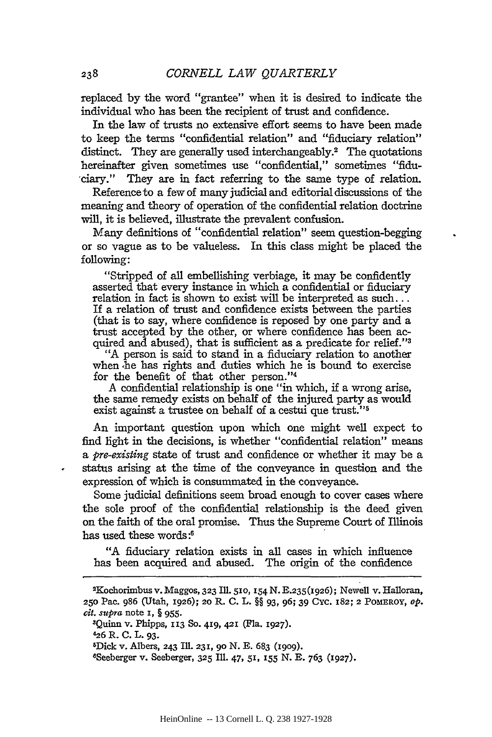replaced by the word "grantee" when it is desired to indicate the individual who has been the recipient of trust and confidence.

In the law of trusts no extensive effort seems to have been made to keep the terms "confidential relation" and "fiduciary relation" distinct. They are generally used interchangeably.<sup>2</sup> The quotations hereinafter given sometimes use "confidential," sometimes "fidu ciary." They are in fact referring to the same type of relation.

Reference to a few of many judicial and editorial discussions of the meaning and theory of operation of the confidential relation doctrine will, it is believed, illustrate the prevalent confusion.

Many definitions of "confidential relation" seem question-begging or so vague as to be valueless. In this class might be placed the following:

"Stripped of all embellishing verbiage, it may be confidently asserted that every instance in which a confidential or fiduciary relation in fact is shown to exist will be interpreted as such... If a relation of trust and confidence exists between the parties (that is to say, where confidence is reposed by one party and a trust accepted by the other, or where confidence has been acquired and abused), that is sufficient as a predicate for relief."<sup>3</sup>

"A person is said to stand in a fiduciary relation to another when he has rights and duties which he is bound to exercise for the benefit of that other person."<sup>4</sup>

A confidential relationship is one "in which, if a wrong arise, the same remedy exists on behalf of the injured party as would exist against a trustee on behalf of a cestui que trust."<sup>5</sup>

An important question upon which one might well expect to find light in the decisions, is whether "confidential relation" means *a pre-existing* state of trust and confidence or whether it may be a status arising at the time of the conveyance in question and the expression of which is consummated in the conveyance.

Some judicial definitions seem broad enough to cover cases where the sole proof of the confidential relationship is the deed given on the faith of the oral promise. Thus the Supreme Court of Illinois has used these words:<sup>6</sup>

"A fiduciary relation exists in all cases in which influence has been acquired and abused. The origin of the confidence

ZQuinn v. Phipps, **113** So. 49, 421 (Fla. **1927).**

**426** R. **C.** L. **93.**

8 Seeberger v. Seeberger, **325** Ill. 47, **51,** 155 **N. E.** 763 (1927).

<sup>2</sup> Kochorimbus v. Maggos, 323 Iil. **510,** 154 N. B.235(I926); Newell v. Halloran, 250 Pac. 986 (Utah, 1926); **20** R. C. L. §§ 93, 96; 39 Cyc. 182; 2 POMEROY, *op. cit. supra* note **I,** § 955.

zDick v. Albers, 243 Ill. **231,** go N. E. 683 **(1909).**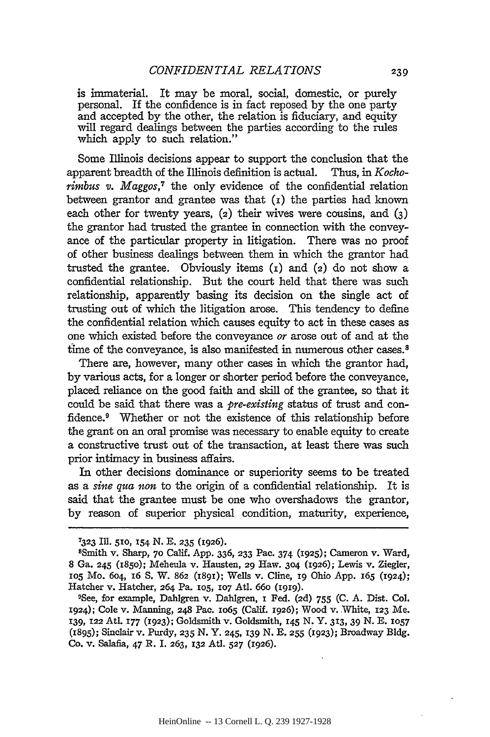is immaterial. It may be moral, social, domestic, or purely personal. If the confidence is in fact reposed by the one party and accepted by the other, the relation is fiduciary, and equity will regard dealings between the parties according to the rules which apply to such relation."

Some Illinois decisions appear to support the conclusion that the apparent breadth of the Illinois definition is actual. Thus, in *Kochorimbus v. Maggos,7* the only evidence of the confidential relation between grantor and grantee was that **(i)** the parties had known each other for twenty years, (2) their wives were cousins, and **(3)** the grantor had trusted the grantee in connection with the conveyance of the particular property in litigation. There was no proof of other business dealings between them in which the grantor had trusted the grantee. Obviously items  $(i)$  and  $(i)$  do not show a confidential relationship. But the court held that there was such relationship, apparently basing its decision on the single act of trusting out of which the litigation arose. This tendency to define the confidential relation which causes equity to act in these cases as one which existed before the conveyance *or* arose out of and at the time of the conveyance, is also manifested in numerous other cases.<sup>8</sup>

There are, however, many other cases in which the grantor had, by various acts, for a longer or shorter period before the conveyance, placed reliance on the good faith and skill of the grantee, so that it could be said that there was a *pre-existing* status of trust and confidence.<sup>9</sup> Whether or not the existence of this relationship before the grant on an oral promise was necessary to enable equity to create a constructive trust out of the transaction, at least there was such prior intimacy in business affairs.

In other decisions dominance or superiority seems to be treated as a *sine qua* non to the origin of a confidential relationship. It is said that the grantee must be one who overshadows the grantor, by reason of superior physical condition, maturity, experience,

**<sup>7323</sup>**Ill. **510, 154 N. E. 235 (1926).** <sup>8</sup>

Smith v. Sharp, **70** Calif. App. 336, **233** Pac. 374 (1925); Cameron v. Ward, 8 Ga. **245** (185o); Meheula v. Hausten, 29 Haw. **3o4** (1926); Lewis v. Ziegler, **1o5** Mo. 604, 16 S. W. **862** (I89I); Wells v. Cline, **19** Ohio App. 165 (1924); Hatcher v. Hatcher, 264 Pa. **105, 107** At1. 66o **(1919).**

<sup>9</sup> See, for example, Dahlgren v. Dahlgren, I Fed. **(2d)** 755 **(C.** A. Dist. Col. 1924); Cole v. Manning, 248 Pac. IO65 (Calif. **1926);** Wood v. White, **123** Me. **139, 122** Atl. **177 (1923);** Goldsmith v. Goldsmith, **145** N. Y. *313,* 39 N. **E. 1057** (1895); Sinclair v. Purdy, **235** N. Y. 245, **139** N. **E. 255** (1923); Broadway Bldg. Co. v. Salafia, 47 R. I. **263, 132** Atl. **527** (1926).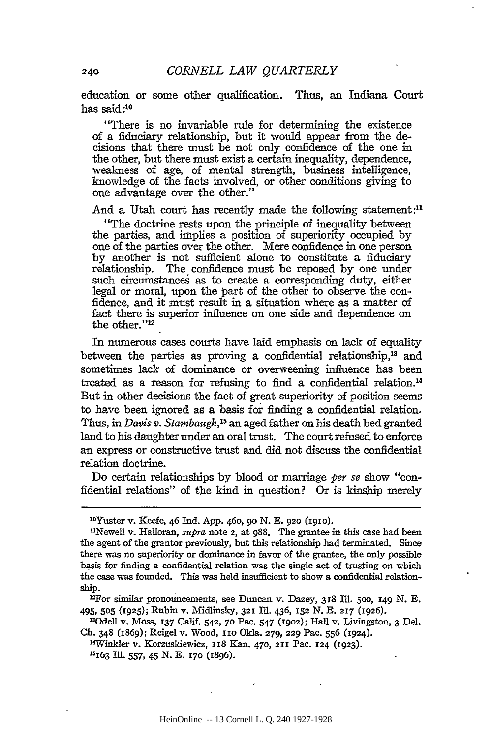education or some other qualification. Thus, an Indiana Court has said:10

"There is no invariable rule for determining the existence of a fiduciary relationship, but it would appear from the decisions that there must be not only confidence of the one in the other, but there must exist a certain inequality, dependence, weakness of age, of mental strength, business intelligence, knowledge of the facts involved, or other conditions giving to one advantage over the other."

And a Utah court has recently made the following statement: $\mathbf{u}$ 

"The doctrine rests upon the principle of inequality between the parties, and implies a position of superiority occupied **by** one of the parties over the other. Mere confidence in one person **by** another is not sufficient alone to constitute a fiduciary relationship. The confidence must be reposed **by** one under such circumstances as to create a corresponding duty, either legal or moral, upon the part of the other to observe the confidence, and it must result in a situation where as a matter of fact there is superior influence on one side and dependence on the other."<sup>12</sup>

In numerous cases courts have laid emphasis on lack of equality between the parties as proving a confidential relationship,<sup>13</sup> and sometimes lack of dominance or overweening influence has been treated as a reason for refusing to find a confidential relation. <sup>4</sup> But in other decisions the fact of great superiority of position seems to have been ignored as a basis **for** finding a confidential relation. Thus, in *Davis v. Stambaugh,"5* an aged father on his death bed granted land to his daughter under an oral trust. The court refused to enforce an express or constructive trust and did not discuss the confidential relation doctrine.

Do certain relationships by blood or marriage *per* se show "confidential relations" of the kind in question? Or is kinship merely

<sup>1</sup> 0 Yuster v. Keefe, 46 Ind. App. 46o, go N. E. 920 **(191o).**

<sup>&</sup>quot;Newell v. Halloran, *supra* note 2, at 988. The grantee in this case had been the agent of the grantor previously, but this relationship had terminated. Since there was no superiority or dominance in favor of the grantee, the only possible basis for finding a confidential relation was the single act of trusting on which the case was founded. This was held insufficient to show a confidential relationship.

For similar pronouncements, see Duncan v. Dazey, **318** Ill. 5o0, 149 N. **E.** 495, **505 (1925);** Rubin v. Midlinsky, **321** Ill. 436, **152 N. E. 217 (1926).**

<sup>&</sup>quot; 3Odell v. Moss, **137** Calif. 542, **70** Pac. 547 **(19o2);** Hall v. Livingston, 3 Del. **Ch.** 348 (1869); Reigel v. Wood, io Okla. **279, 229** Pac. **556 (1924).**

<sup>1</sup> 4 Winkler v. Korzuskiewicz, 118 Kan. **470,** 211 Pac. 124 (1923). '5163 Ill. 557, 45 N. E. **170** (1896).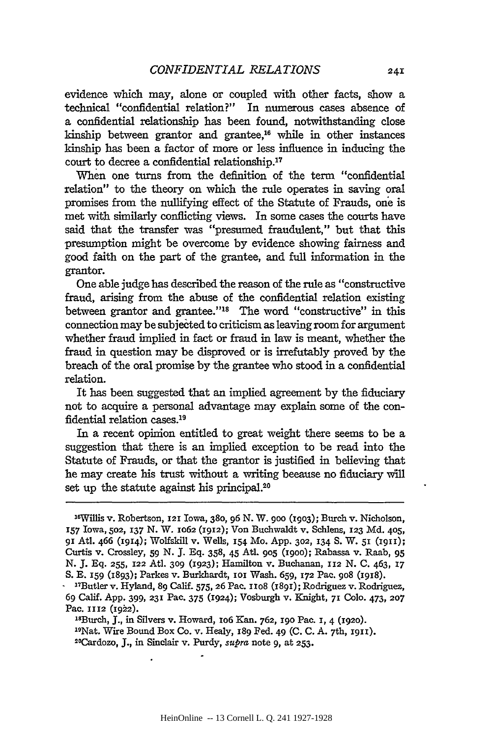evidence which may, alone or coupled with other facts, show a technical "confidential relation?" In numerous cases absence of a confidential relationship has been found, notwithstanding close kinship between grantor and grantee, $16$  while in other instances kinship has been a factor of more or less influence in inducing the court to decree a confidential relationship.<sup>17</sup>

When one turns from the definition of the term "confidential relation" to the theory on which the rule operates in saving oral promises from the nullifying effect of the Statute of Frauds, one is met with similarly conflicting views. In some cases the courts have said that the transfer was "presumed fraudulent," but that this presumption might be overcome by evidence showing fairness and good faith on the part of the grantee, and full information in the grantor.

One able judge has described the reason of the rule as "constructive fraud, arising from the abuse of the confidential relation existing between grantor and grantee."<sup>18</sup> The word "constructive" in this connection may be subjected to criticism as leaving room for argument whether fraud implied in fact or fraud in law is meant, whether the fraud in question may be disproved or is irrefutably proved by the breach of the oral promise by the grantee who stood in a confidential relation.

It has been suggested that an implied agreement by the fiduciary not to acquire a personal advantage may explain some of the confidential relation cases.<sup>19</sup>

In a recent opinion entitled to great weight there seems to be a suggestion that there is an implied exception to be read into the Statute of Frauds, or that the grantor is justified in believing that he may create his trust without a writing because no fiduciary will set up the statute against his principal.<sup>20</sup>

' 8Burch, **J.,** in Silvers v. Howard, io6 Kan. 762, **19o** Pac. **I,** 4 **(1920).** 19Nat. Wire Bound Box Co. v. Healy, 189 Fed. 49 (C. C. A. 7th, **I911).** 2 0Cardozo, **J.,** in Sinclair v. Purdy, supra note 9, at **253.**

<sup>&</sup>lt;sup>16</sup>Willis v. Robertson, 121 Iowa, 380, 96 N. W. 900 (1903); Burch v. Nicholson, **157** Iowa, **502, 137** N. W. io62 **(1912);** Von Buchwaldt v. Schlens, **123** Md. 405, gi Atl. 466 (1914); Wolfskill v. Wells, **154** Mo. App. **302,** 134 S. W. **51 (1911);** Curtis v. Crossley, 59 N. **J.** Eq. 358, 45 Atl. **905** (igoo); Rabassa v. Raab, 95 N. J. Eq. **255, 122** Atl. **309** (1923); Hamilton v. Buchanan, **112** N. **C.** 463, **17** S. E. 159 (1893); Parkes v. Burkhardt, ioi Wash. 659, **172** Pac. go8 (igi8).

**<sup>-</sup>** "Butler v. Hyland, **89** Calif. 575, **26** Pac. iio8 (1891); Rodriguez v. Rodriguez, 69 Calif. App. 399, **231** Pac. 375 (1924); Vosburgh v. Knight, **71** Colo. 473, **207** Pac. 1112 (1922).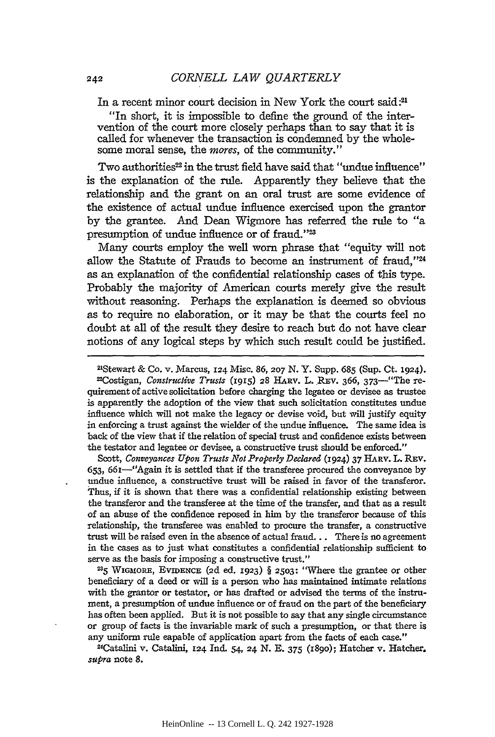In a recent minor court decision in New York the court said **:21**

"In short, it is impossible to define the ground of the intervention of the court more closely perhaps than to say that it is called for whenever the transaction is condemned by the wholesome moral sense, the *mores,* of the community."

Two authorities<sup>22</sup> in the trust field have said that "undue influence" is the explanation of the rule. Apparently they believe that the relationship and the grant on an oral trust are some evidence of the existence of actual undue influence exercised upon the grantor by the grantee. *And* Dean Wigmore has referred the rule to "a presumption of undue influence or of fraud."'

Many courts employ the well worn phrase that "equity will not allow the Statute of Frauds to become an instrument of fraud,"24 as an explanation of the confidential relationship cases of this type. Probably the majority of American courts merely give the result without reasoning. Perhaps the explanation is deemed so obvious as to require no elaboration, or it may be that the courts feel no doubt at all of the result they desire to reach but do not have clear notions of any logical steps by which such result could be justified.

Stewart & Co. v. Marcus, 24 Misc. 86, **207** N. Y. Supp. **685** (Sup. Ct. 1924). <sup>22</sup>Costigan, *Constructive Trusts* (1915) 28 HARV. L. REV. 366, 373<sup>-"</sup>The requirement of active solicitation before charging the legatee or devisee as trustee is apparently the adoption of the view that such solicitation constitutes undue influence which will not make the legacy or devise void, but will justify equity in enforcing a trust against the wielder of the undue influence. The same idea is back of the view that if the relation of special trust and confidence exists between the testator and legatee or devisee, a constructive trust should be enforced."

Scott, *Conveyances Upon Trusts Not Properly Declared* (1924) 37 HARv. L. **REV.** 653, 66I-"Again it is settled that if the transferee procured the conveyance by undue influence, a constructive trust will be raised in favor of the transferor. Thus, if it is shown that there was a confidential relationship existing between the transferor and the transferee at the time of the transfer, and that as a result of an abuse of the confidence reposed in him by the transferor because of this relationship, the transferee was enabled to procure the transfer, a constructive trust will be raised even in the absence of actual fraud... There is no agreement in the cases as to just what constitutes a confidential relationship sufficient to serve as the basis for imposing a constructive trust."

*<sup>235</sup>***WGmORE,** EvnDEmcE **(2d** ed. **1923)** § **2503:** "Where the grantee or other beneficiary of a deed or will is a person who has maintained intimate relations with the grantor or testator, or has drafted or advised the terms of the instrument, a presumption of undue influence or of fraud on the part of the beneficiary has often been applied. But it is not possible to say that any single circumstance or group of facts is the invariable mark of such a presumption, or that there is any uniform rule eapable of application apart from the facts of each case."

Catalini v. Catalini, **124** Ind. 54, 24 N. **E.** 375 (I89O); Hatcher v. Hatcher. *supra* note **8.**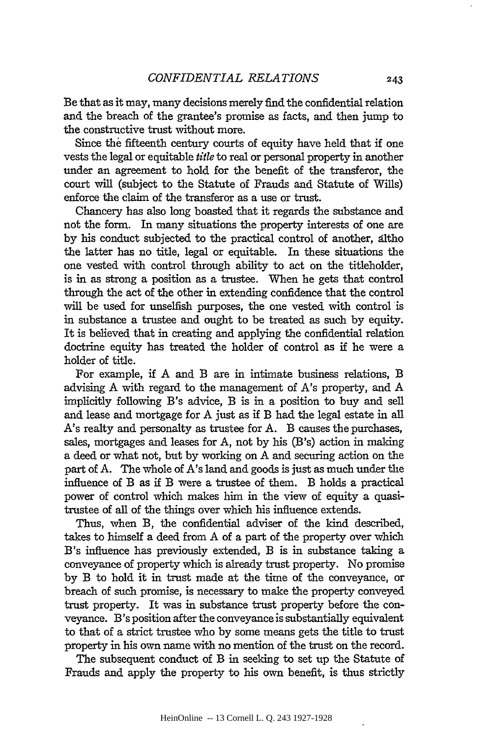Be that as it may, many decisions merely find the confidential relation and the breach of the grantee's promise as facts, and then jump to the constructive trust without more.

Since the fifteenth century courts of equity have held that if one vests the legal or equitable *title* to real or personal property in another under an agreement to hold for the benefit of the transferor, the court will (subject to the Statute of Frauds and Statute of Wills) enforce the claim of the transferor as a use or trust.

Chancery has also long boasted that it regards the substance and not the form. In many situations the property interests of one are by his conduct subjected to the practical control of another, dltho the latter has no title, legal or equitable. In these situations the one vested with control through ability to act on the titleholder, is in as strong a position as a trustee. When he gets that control through the act of the other in extending confidence that the control will be used for unselfish purposes, the one vested with control is in substance a trustee and ought to be treated as such by equity. It is believed that in creating and applying the confidential relation doctrine equity has treated the holder of control as if he were a holder of title.

For example, if A and B are in intimate business relations, B advising A with regard to the management of A's property, and A implicitly following B's advice, B is in a position to buy and sell and lease and mortgage for A just as if B had the legal estate in all A's realty and personalty as trustee for A. B causes the purchases, sales, mortgages and leases for A, not by his (B's) action in making a deed or what not, but by working on A and securing action on the part of A. The whole of A's land and goods is just as much under the influence of B as if B were a trustee of them. B holds a practical power of control which makes him in the view of equity a quasitrustee of all of the things over which his influence extends.

Thus, when B, the confidential adviser of the kind described, takes to himself a deed from A of a part of the property over which B's influence has previously extended, B is in substance taking a conveyance of property which is already trust property. No promise by B to hold it in trust made at the time of the conveyance, or breach of such promise, is necessary to make the property conveyed trust property. It was in substance trust property before the conveyance. B's position after the conveyance is substantially equivalent to that of a strict trustee who by some means gets the title to trust property in his own name with no mention of the trust on the record.

The subsequent conduct of B in seeking to set up the Statute of Frauds and apply the property to his own benefit, is thus strictly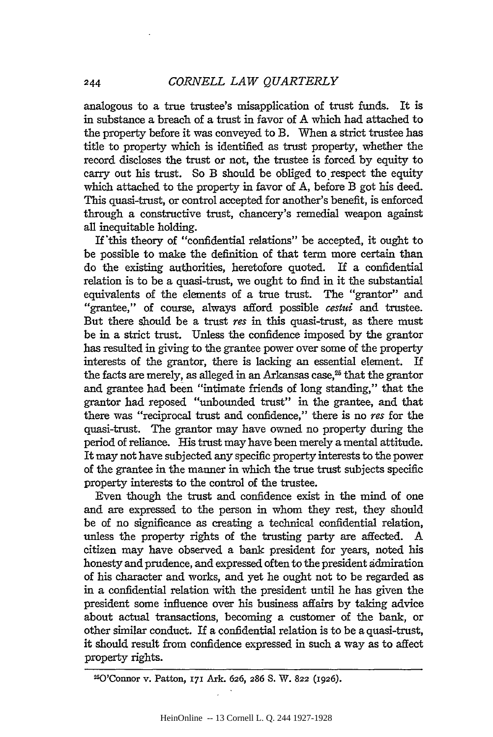244

analogous to a true trustee's misapplication of trust funds. It is in substance a breach of a trust in favor of A which had attached to the property before it was conveyed to B. When a strict trustee has title to property which is identified as trust property, whether the record discloses the trust or not, the trustee is forced **by** equity to carry out his trust. So B should be obliged to respect the equity which attached to the property in favor of **A,** before B got his deed. This quasi-trust, or control accepted for another's benefit, is enforced through a constructive trust, chancery's remedial weapon against all inequitable holding.

If'this theory of "confidential relations" be accepted, it ought to be possible to make the definition of that term more certain than do the existing authorities, heretofore quoted. If a confidential relation is to be a quasi-trust, we ought to find in it the substantial equivalents of the elements of a true trust. The "grantor" and "grantee," of course, always afford possible *cestui* and trustee. But there should be a trust res in this quasi-trust, as there must be in a strict trust. Unless the confidence imposed by the grantor has resulted in giving to the grantee power over some of the property interests of the grantor, there is lacking an essential element. If the facts are merely, as alleged in an Arkansas case, $25$  that the grantor and grantee had been "intimate friends of long standing," that the grantor had reposed "unbounded trust" in the grantee, and that there was "reciprocal trust and confidence," there is no *res* for the quasi-trust. The grantor may have owned no property during the period of reliance. His trust may have been merely a mental attitude. It may not have subjected any specific property interests to the power of the grantee in the manner in which the true trust subjects specific property interests to the control of the trustee.

Even though the trust and confidence exist in the mind of one and are expressed to the person in whom they rest, they should be of no significance as creating a technical confidential relation, unless the property rights of the trusting party are affected. A citizen may have observed a bank president for years, noted his honesty and prudence, and expressed often to the president admiration of his character and works, and yet he ought not to be regarded as in a confidential relation with the president until he has given the president some influence over his business affairs by taking advice about actual transactions, becoming a customer of the bank, or other similar conduct. If a confidential relation is to be a quasi-trust, it should result from confidence expressed in such a way as to affect property rights.

<sup>25</sup> 0'Connor v. Patton, **171** Ark. **626, 286** S. W. **822** (1926).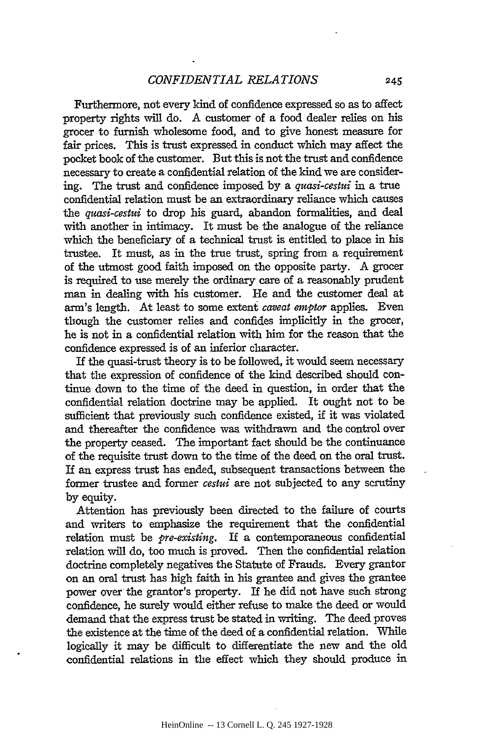Furthermore, not every kind of confidence expressed so as to affect property rights will do. A customer of a food dealer relies on his grocer to furnish wholesome food, and to give honest measure for fair prices. This is trust expressed in conduct which may affect the pocket book of the customer. But this is not the trust and confidence necessary to create a confidential relation of the kind we are considering. The trust and confidence imposed by a *quasi-cestui* in a true confidential relation must be an extraordinary reliance which causes the *quasi-cestui* to drop his guard, abandon formalities, and deal with another in intimacy. It must be the analogue of the reliance which the beneficiary of a technical trust is entitled to place in his trustee. It must, as in the true trust, spring from a requirement of the utmost good faith imposed on the opposite party. A grocer is required to use merely the ordinary care of a reasonably prudent man in dealing with his customer. He and the customer deal at arm's length. At least to some extent *caveat emptor* applies. Even though the customer relies and confides implicitly in the grocer, he is not in a confidential relation with him for the reason that the confidence expressed is of an inferior character.

If the quasi-trust theory is to be followed, it would seem necessary that the expression of confidence of the kind described should continue down to the time of the deed in question, in order that the confidential relation doctrine may be applied. It ought not to be sufficient that previously such confidence existed, if it was violated and thereafter the confidence was withdrawn and the control over the property ceased. The important fact should be the continuance of the requisite trust down to the time of the deed on the oral trust. If an express trust has ended, subsequent transactions between the former trustee and former *cestui* are not subjected to any scrutiny by equity.

Attention has previously been directed to the failure of courts and writers to emphasize the requirement that the confidential relation must be *pre-existing.* If a contemporaneous confidential relation will do, too much is proved. Then the confidential relation doctrine completely negatives the Statute of Frauds. Every grantor on an oral trust has high faith in his grantee and gives the grantee power over the grantor's property. If he did not have such strong confidence, he surely would either refuse to make the deed or would demand that the express trust be stated in writing. The deed proves the existence at the time of the deed of a confidential relation. While logically it may be difficult to differentiate the new and the old confidential relations in the effect which they should produce in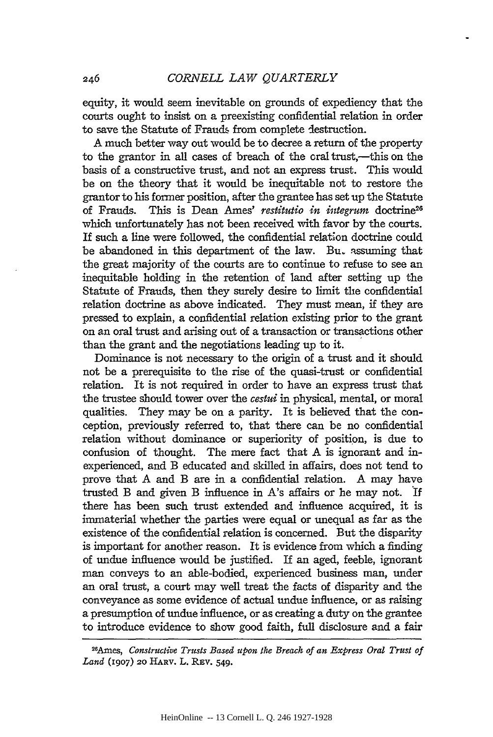equity, it would seem inevitable on grounds of expediency that the courts ought to insist on a preexisting confidential relation in order to save the Statute of Frauds from complete destruction.

A much better way out would be to decree a return of the property to the grantor in all cases of breach of the oral trust,—this on the basis of a constructive trust, and not an express trust. This would be on the theory that it would be inequitable not to restore the grantor to his former position, after the grantee has set up the Statute of Frauds. This is Dean Ames' *restitutio in integrum* doctrine<sup>26</sup> which unfortunately has not been received with favor by the courts. If such a line were followed, the confidential relation doctrine could be abandoned in this department of the law. Bu. assuming that the great majority of the courts are to continue to refuse to see an inequitable holding in the retention of land after setting up the Statute of Frauds, then they surely desire to limit the confidential relation doctrine as above indicated. They must mean, if they are pressed to explain, a confidential relation existing prior to the grant on an oral trust and arising out of a transaction or transactions other than the grant and the negotiations leading up to it.

Dominance is not necessary to the origin of a trust and it should not be a prerequisite to the rise of the quasi-trust or confidential relation. It is not required in order to have an express trust that the trustee should tower over the *cestui* in physical, mental, or moral qualities. They may be on a parity. It is believed that the conception, previously referred to, that there can be no confidential relation without dominance or superiority of position, is due to confusion of thought. The mere fact that A is ignorant and inexperienced, and B educated and skilled in affairs, does not tend to prove that A and B are in a confidential relation. A may have trusted B and given B influence in A's affairs or he may not. If there has been such trust extended and influence acquired, it is immaterial whether the parties were equal or unequal as far as the existence of the confidential relation is concerned. But the disparity is important for another reason. It is evidence from which a finding of undue influence would be justified. If an aged, feeble, ignorant man conveys to an able-bodied, experienced business man, under an oral trust, a court may well treat the facts of disparity and the conveyance as some evidence of actual undue influence, or as raising a presumption of undue influence, or as creating a duty on the grantee to introduce evidence to show good faith, full disclosure and a fair

*<sup>26</sup> Ames, Constructive Trusts Based upon the Breach of an Express Oral Trust of Land* **(1907)** 2o HARv. L. REv. 549.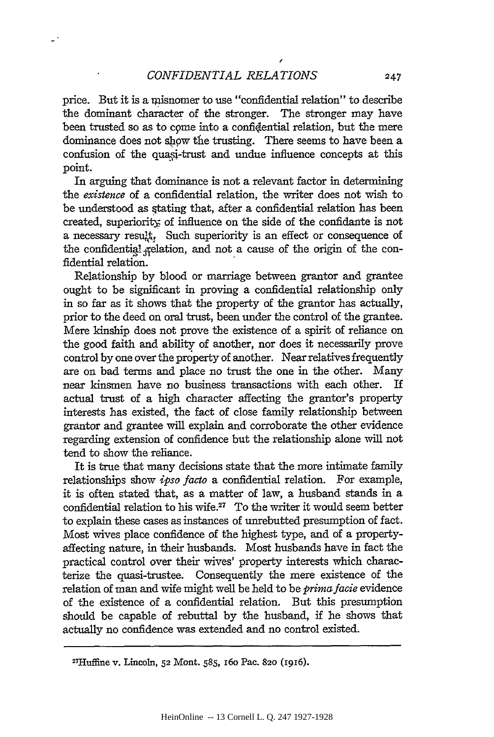/

price. But it is a misnomer to use "confidential relation" to describe the dominant character of the stronger. The stronger may have been trusted so as to come into a confidential relation, but the mere dominance does not show the trusting. There seems to have been a confusion of the quasi-trust and undue influence concepts at this point.

In arguing that dominance is not a relevant factor in determining the *existence* of a confidential relation, the writer does not wish to be understood as stating that, after a confidential relation has been created, superiority of influence on the side of the confidante is not a necessary result, Such superiority is an effect or consequence of the confidential felation, and not a cause of the origin of the confidential relation.

Relationship by blood or marriage between grantor and grantee ought to be significant in proving a confidential relationship only in so far as it shows that the property of the grantor has actually, prior to the deed on oral trust, been under the control of the grantee. Mere kinship does not prove the existence of a spirit of reliance on the good faith and ability of another, nor does it necessarily prove control by one over the property of another. Near relatives frequently are on bad terms and place no trust the one in the other. Many near kinsmen have no business transactions with each other. If actual trust of a high character affecting the grantor's property interests has existed, the fact of close family relationship between grantor and grantee will explain and corroborate the other evidence regarding extension of confidence but the relationship alone will not tend to show the reliance.

It is true that many decisions state that the more intimate family relationships show *ipso facto* a confidential relation. For example, it is often stated that, as a matter of law, a husband stands in a confidential relation to his wife.<sup>27</sup> To the writer it would seem better to explain these cases as instances of unrebutted presumption of fact. Most wives place confidence of the highest type, and of a propertyaffecting nature, in their husbands. Most husbands have in fact the practical control over their wives' property interests which characterize the quasi-trustee. Consequently the mere existence of the relation of man and wife might well be held to be *primafacie* evidence of the existence of a confidential relation. But this presumption should be capable of rebuttal by the husband, if he shows that actually no confidence was extended and no control existed.

<sup>27</sup> Huffme v. Lincoln, **52** Mont. *585,* 16o Pac. **820** (1916).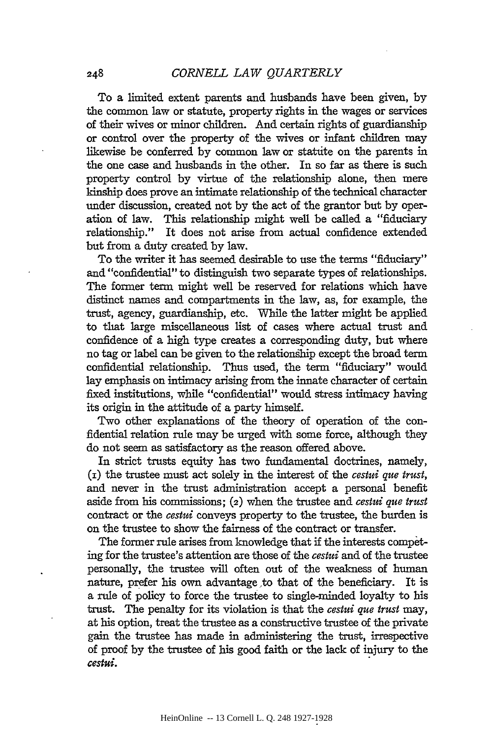To a limited extent parents and husbands have been given, by the common law or statute, property rights in the wages or services of their wives or minor children. And certain rights of guardianship or control over the property of the wives or infant children may likewise be conferred by common law or statute on the parents in the one case and husbands in the other. In so far as there is such property control by virtue of the relationship alone, then mere kinship does prove an intimate relationship of the technical character under discussion, created not by the act of the grantor but by operation of law. This relationship might well be called a "fiduciary relationship." It does not arise from actual confidence extended but from a duty created by law.

To the writer it has seemed desirable to use the terms "fiduciary" and "confidential" to distinguish two separate types of relationships. The former term might well be reserved for relations which have distinct names and compartments in the law, as, for example, the trust, agency, guardianship, etc. While the latter might be applied to that large miscellaneous list of cases where actual trust and confidence of a high type creates a corresponding duty, but where no tag or label can be given to the relationghip except the broad term confidential relationship. Thus used, the term "fiduciary" would lay emphasis on intimacy arising from the innate character of certain fixed institutions, while "confidential" would stress intimacy having its origin in the attitude of a party himself.

Two other explanations of the theory of operation of the confidential relation rule may be urged with some force, although they do not seem as satisfactory as the reason offered above.

In strict trusts equity has two fundamental doctrines, namely, **(i)** the trustee must act solely in the interest of the *cestui que trust,* and never in the trust administration accept a personal benefit aside from his commissions; (2) when the trustee and *cestui que trust* contract or the *cestui* conveys property to the trustee, the burden is on the trustee to show the fairness of the contract or transfer.

The former rule arises from knowledge that if the interests competing for the trustee's attention are those of the *cestui* and of the trustee personally, the trustee will often out of the weakness of human nature, prefer his own advantage to that of the beneficiary. It is a rule of policy to force the trustee to single-minded loyalty to his trust. The penalty for its violation is that the *cestui que trust* may, at his option, treat the trustee as a constructive trustee of the private gain the trustee has made in administering the trust, irrespective of proof by the trustee of his good faith or the lack of injury to the *cestui.*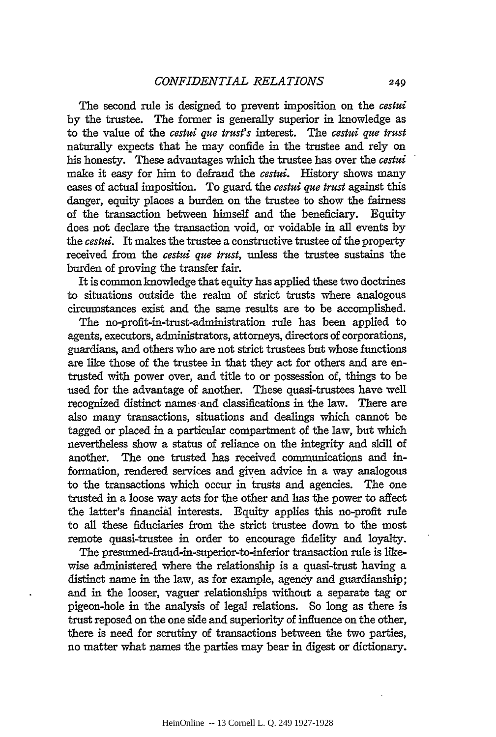The second rule is designed to prevent imposition on the *cestui* by the trustee. The former is generally superior in knowledge as to the value of the *cestui que trust's* interest. The *cestui que trust* naturally expects that he may confide in the trustee and rely on his honesty. These advantages which the trustee has over the *cestui* make it easy for him to defraud the *cestui.* History shows many cases of actual imposition. To guard the *cestui que trust* against this danger, equity places a burden on the trustee to show the fairness of the transaction between himself and the beneficiary. Equity does not declare the transaction void, or voidable in all events by the *cestui.* It makes the trustee a constructive trustee of the property received from the *cestui que trust,* unless the trustee sustains the burden of proving the transfer fair.

It is common knowledge that equity has applied these two doctrines to situations outside the realm of strict trusts where analogous circumstances exist and the same results are to be accomplished.

The no-profit-in-trust-administration rule has been applied to agents, executors, administrators, attorneys, directors of corporations, guardians, and others who are not strict trustees but whose functions are like those of the trustee in that they act for others and are entrusted with power over, and title to or possession of, things to be used for the advantage of another. These quasi-trustees have well recognized distinct names and classifications in the law. There are also many transactions, situations and dealings which cannot be tagged or placed in a particular compartment of the law, but which nevertheless show a status of reliance on the integrity and skill of another. The one trusted has received communications and information, rendered services and given advice in a way analogous to the transactions which occur in trusts and agencies. The one trusted in a loose way acts for the other and has the power to affect the latter's financial interests. Equity applies this no-profit rule to all these fiduciaries from the strict trustee down to the most remote quasi-trustee in order to encourage fidelity and loyalty.

The presumed-fraud-in-superior-to-inferior transaction rule is likewise administered where the relationship is a quasi-trust having a distinct name in the law, as for example, agency and guardianship; and in the looser, vaguer relationships without a separate tag or pigeon-hole in the analysis of legal relations. So long as there is trust reposed on the one side and superiority of influence on the other, there is need for scrutiny of transactions between the two parties, no matter what names the parties may bear in digest or dictionary.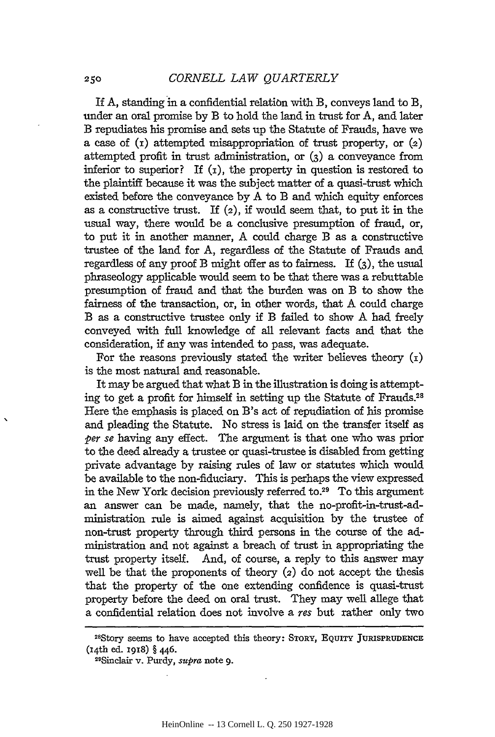If A, standing in a confidential relation with B, conveys land to B, under an oral promise by B to hold the land in trust for A, and later B repudiates his promise and sets up the Statute of Frauds, have we a case of  $(i)$  attempted misappropriation of trust property, or  $(2)$ attempted profit in trust administration, or **(3)** a conveyance from inferior to superior? If  $(I)$ , the property in question is restored to the plaintiff because it was the subject matter of a quasi-trust which existed before the conveyance by A to B and which equity enforces as a constructive trust. If  $(z)$ , if would seem that, to put it in the usual way, there would be a conclusive presumption of fraud, or, to put it in another manner, A could charge B as a constructive trustee of the land for A, regardless of the Statute of Frauds and regardless of any proof B might offer as to fairness. If (3), the usual phraseology applicable would seem to be that there was a rebuttable presumption of fraud and that the burden was on B to show the fairness of the transaction, or, in other words, that A could charge B as a constructive trustee only if B failed to show A had freely conveyed with full knowledge of all relevant facts and that the consideration, if any was intended to pass, was adequate.

For the reasons previously stated the writer believes theory  $(i)$ is the most natural and reasonable.

It may be argued that what B in the illustration is doing is attempting to get a profit for himself in setting up the Statute of Frauds.<sup>28</sup> Here the emphasis is placed on B's act of repudiation of his promise and pleading the Statute. No stress is laid on the transfer itself as *per* se having any effect. The argument is that one who was prior to the deed already a trustee or quasi-trustee is disabled from getting private advantage by raising rules of law or statutes which would be available to the non-fiduciary. This is perhaps the view expressed in the New York decision previously referred to.29 To this argument an answer can be made, namely, that the no-profit-in-trust-administration rule is aimed against acquisition by the trustee of non-trust property through third persons in the course of the administration and not against a breach of trust in appropriating the trust property itself. And, of course, a reply to this answer may well be that the proponents of theory (2) do not accept the thesis that the property of the one extending confidence is quasi-trust property before the deed on oral trust. They may well allege that a confidential relation does not involve a res but rather only two

**<sup>28</sup> Story** seems to have accepted this theory: STORY, **EQUITY** JURISPRUDENCE (i4th ed. 1918) § 446.

<sup>2</sup> Sinclair v. Purdy, *supra* note 9.